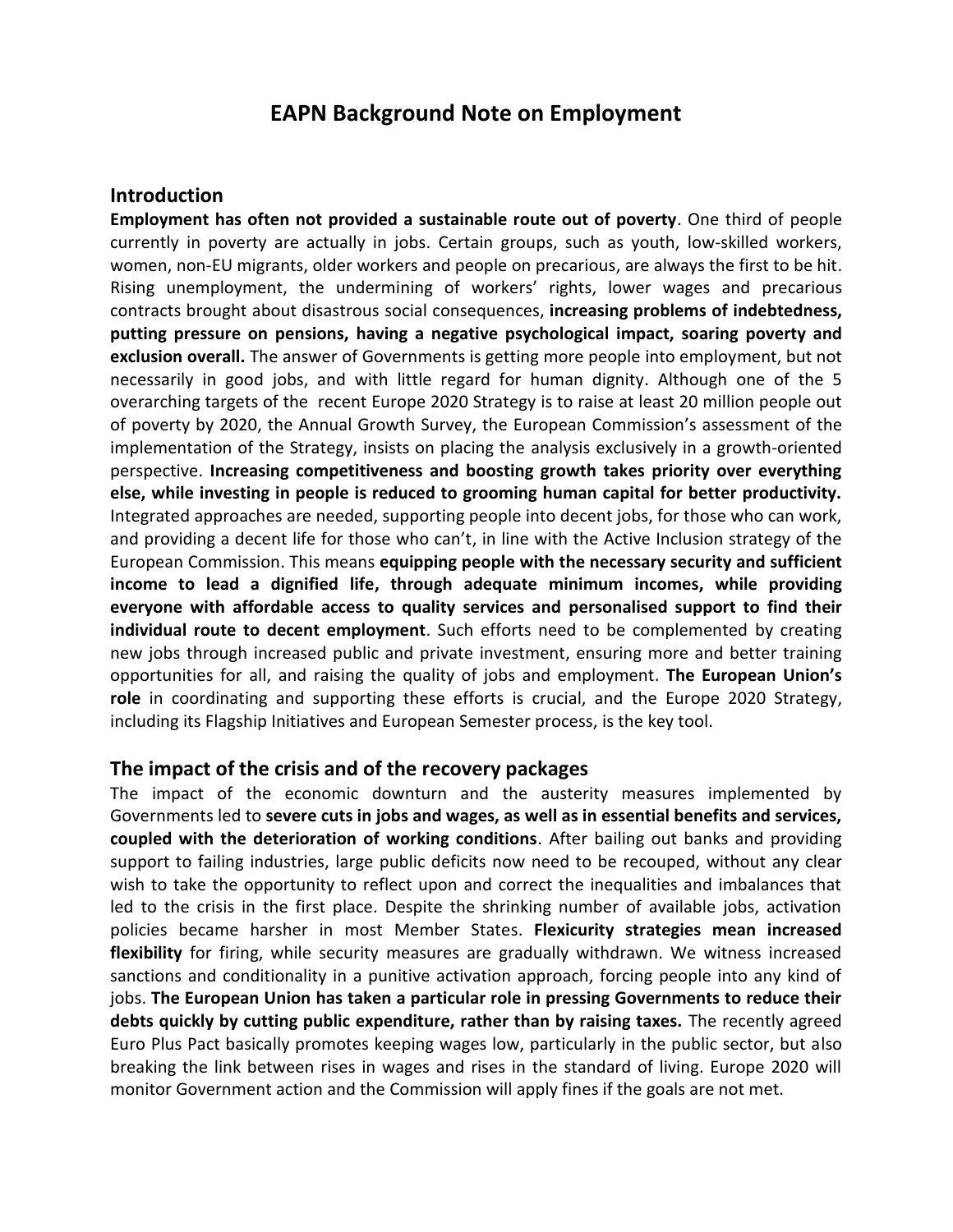# **EAPN Background Note on Employment**

#### **Introduction**

**Employment has often not provided a sustainable route out of poverty**. One third of people currently in poverty are actually in jobs. Certain groups, such as youth, low-skilled workers, women, non-EU migrants, older workers and people on precarious, are always the first to be hit. Rising unemployment, the undermining of workers' rights, lower wages and precarious contracts brought about disastrous social consequences, **increasing problems of indebtedness, putting pressure on pensions, having a negative psychological impact, soaring poverty and exclusion overall.** The answer of Governments is getting more people into employment, but not necessarily in good jobs, and with little regard for human dignity. Although one of the 5 overarching targets of the recent Europe 2020 Strategy is to raise at least 20 million people out of poverty by 2020, the Annual Growth Survey, the European Commission's assessment of the implementation of the Strategy, insists on placing the analysis exclusively in a growth-oriented perspective. **Increasing competitiveness and boosting growth takes priority over everything else, while investing in people is reduced to grooming human capital for better productivity.** Integrated approaches are needed, supporting people into decent jobs, for those who can work, and providing a decent life for those who can't, in line with the Active Inclusion strategy of the European Commission. This means **equipping people with the necessary security and sufficient income to lead a dignified life, through adequate minimum incomes, while providing everyone with affordable access to quality services and personalised support to find their individual route to decent employment**. Such efforts need to be complemented by creating new jobs through increased public and private investment, ensuring more and better training opportunities for all, and raising the quality of jobs and employment. **The European Union's role** in coordinating and supporting these efforts is crucial, and the Europe 2020 Strategy, including its Flagship Initiatives and European Semester process, is the key tool.

#### **The impact of the crisis and of the recovery packages**

The impact of the economic downturn and the austerity measures implemented by Governments led to **severe cuts in jobs and wages, as well as in essential benefits and services, coupled with the deterioration of working conditions**. After bailing out banks and providing support to failing industries, large public deficits now need to be recouped, without any clear wish to take the opportunity to reflect upon and correct the inequalities and imbalances that led to the crisis in the first place. Despite the shrinking number of available jobs, activation policies became harsher in most Member States. **Flexicurity strategies mean increased flexibility** for firing, while security measures are gradually withdrawn. We witness increased sanctions and conditionality in a punitive activation approach, forcing people into any kind of jobs. **The European Union has taken a particular role in pressing Governments to reduce their debts quickly by cutting public expenditure, rather than by raising taxes.** The recently agreed Euro Plus Pact basically promotes keeping wages low, particularly in the public sector, but also breaking the link between rises in wages and rises in the standard of living. Europe 2020 will monitor Government action and the Commission will apply fines if the goals are not met.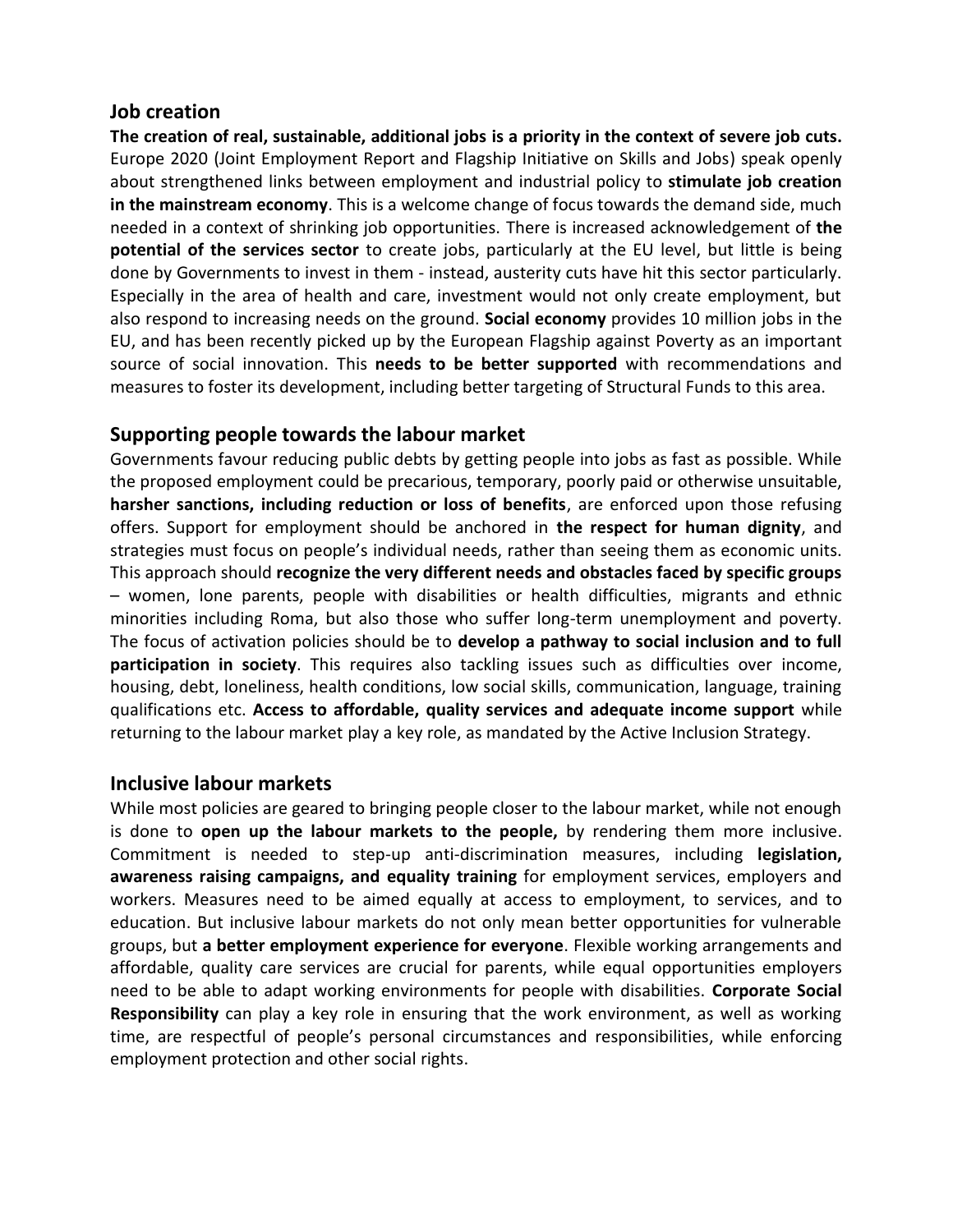### **Job creation**

**The creation of real, sustainable, additional jobs is a priority in the context of severe job cuts.** Europe 2020 (Joint Employment Report and Flagship Initiative on Skills and Jobs) speak openly about strengthened links between employment and industrial policy to **stimulate job creation in the mainstream economy**. This is a welcome change of focus towards the demand side, much needed in a context of shrinking job opportunities. There is increased acknowledgement of **the potential of the services sector** to create jobs, particularly at the EU level, but little is being done by Governments to invest in them - instead, austerity cuts have hit this sector particularly. Especially in the area of health and care, investment would not only create employment, but also respond to increasing needs on the ground. **Social economy** provides 10 million jobs in the EU, and has been recently picked up by the European Flagship against Poverty as an important source of social innovation. This **needs to be better supported** with recommendations and measures to foster its development, including better targeting of Structural Funds to this area.

# **Supporting people towards the labour market**

Governments favour reducing public debts by getting people into jobs as fast as possible. While the proposed employment could be precarious, temporary, poorly paid or otherwise unsuitable, **harsher sanctions, including reduction or loss of benefits**, are enforced upon those refusing offers. Support for employment should be anchored in **the respect for human dignity**, and strategies must focus on people's individual needs, rather than seeing them as economic units. This approach should **recognize the very different needs and obstacles faced by specific groups** – women, lone parents, people with disabilities or health difficulties, migrants and ethnic minorities including Roma, but also those who suffer long-term unemployment and poverty. The focus of activation policies should be to **develop a pathway to social inclusion and to full participation in society**. This requires also tackling issues such as difficulties over income, housing, debt, loneliness, health conditions, low social skills, communication, language, training qualifications etc. **Access to affordable, quality services and adequate income support** while returning to the labour market play a key role, as mandated by the Active Inclusion Strategy.

# **Inclusive labour markets**

While most policies are geared to bringing people closer to the labour market, while not enough is done to **open up the labour markets to the people,** by rendering them more inclusive. Commitment is needed to step-up anti-discrimination measures, including **legislation, awareness raising campaigns, and equality training** for employment services, employers and workers. Measures need to be aimed equally at access to employment, to services, and to education. But inclusive labour markets do not only mean better opportunities for vulnerable groups, but **a better employment experience for everyone**. Flexible working arrangements and affordable, quality care services are crucial for parents, while equal opportunities employers need to be able to adapt working environments for people with disabilities. **Corporate Social Responsibility** can play a key role in ensuring that the work environment, as well as working time, are respectful of people's personal circumstances and responsibilities, while enforcing employment protection and other social rights.